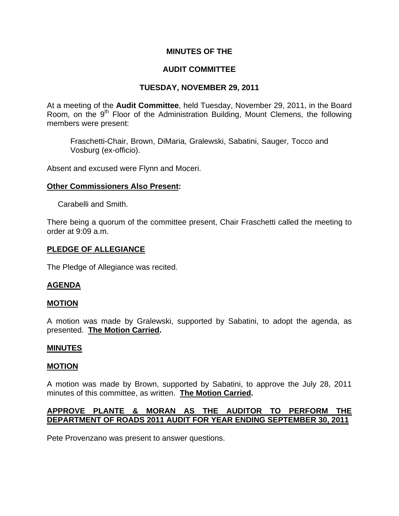# **MINUTES OF THE**

# **AUDIT COMMITTEE**

# **TUESDAY, NOVEMBER 29, 2011**

At a meeting of the **Audit Committee**, held Tuesday, November 29, 2011, in the Board Room, on the 9<sup>th</sup> Floor of the Administration Building, Mount Clemens, the following members were present:

Fraschetti-Chair, Brown, DiMaria, Gralewski, Sabatini, Sauger, Tocco and Vosburg (ex-officio).

Absent and excused were Flynn and Moceri.

#### **Other Commissioners Also Present:**

Carabelli and Smith.

There being a quorum of the committee present, Chair Fraschetti called the meeting to order at 9:09 a.m.

### **PLEDGE OF ALLEGIANCE**

The Pledge of Allegiance was recited.

# **AGENDA**

#### **MOTION**

A motion was made by Gralewski, supported by Sabatini, to adopt the agenda, as presented. **The Motion Carried.** 

#### **MINUTES**

#### **MOTION**

A motion was made by Brown, supported by Sabatini, to approve the July 28, 2011 minutes of this committee, as written. **The Motion Carried.** 

# **APPROVE PLANTE & MORAN AS THE AUDITOR TO PERFORM THE DEPARTMENT OF ROADS 2011 AUDIT FOR YEAR ENDING SEPTEMBER 30, 2011**

Pete Provenzano was present to answer questions.